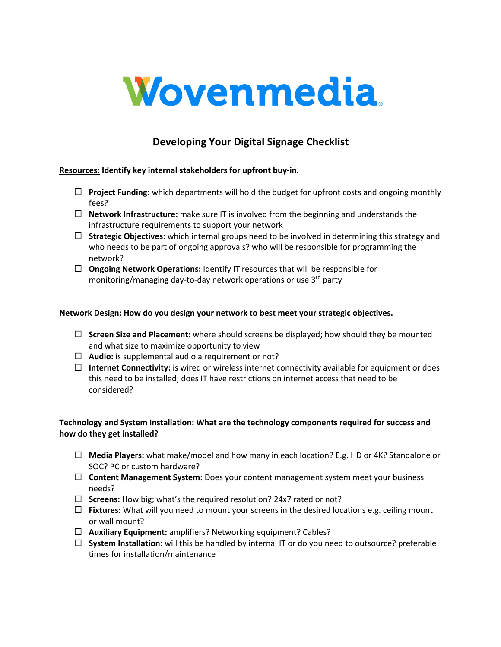

# **Developing Your Digital Signage Checklist**

#### **Resources: Identify key internal stakeholders for upfront buy-in.**

- □ **Project Funding:** which departments will hold the budget for upfront costs and ongoing monthly fees?
- $\Box$  **Network Infrastructure:** make sure IT is involved from the beginning and understands the infrastructure requirements to support your network
- $\Box$  **Strategic Objectives:** which internal groups need to be involved in determining this strategy and who needs to be part of ongoing approvals? who will be responsible for programming the network?
- □ **Ongoing Network Operations:** Identify IT resources that will be responsible for monitoring/managing day-to-day network operations or use 3<sup>rd</sup> party

## **Network Design: How do you design your network to best meet your strategic objectives.**

- □ **Screen Size and Placement:** where should screens be displayed; how should they be mounted and what size to maximize opportunity to view
- $\Box$  **Audio:** is supplemental audio a requirement or not?
- $\Box$  **Internet Connectivity:** is wired or wireless internet connectivity available for equipment or does this need to be installed; does IT have restrictions on internet access that need to be considered?

## **Technology and System Installation: What are the technology components required for success and how do they get installed?**

- ¨ **Media Players:** what make/model and how many in each location? E.g. HD or 4K? Standalone or SOC? PC or custom hardware?
- $\Box$  **Content Management System:** Does your content management system meet your business needs?
- □ **Screens:** How big; what's the required resolution? 24x7 rated or not?
- $\Box$  **Fixtures:** What will you need to mount your screens in the desired locations e.g. ceiling mount or wall mount?
- ¨ **Auxiliary Equipment:** amplifiers? Networking equipment? Cables?
- ¨ **System Installation:** will this be handled by internal IT or do you need to outsource? preferable times for installation/maintenance